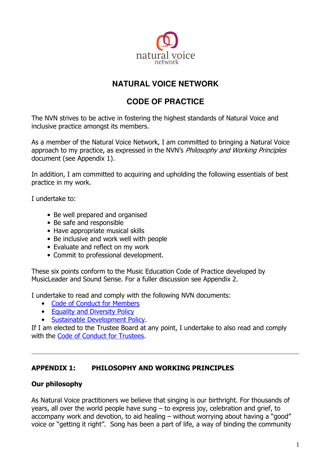

## **NATURAL VOICE NETWORK**

# **CODE OF PRACTICE**

The NVN strives to be active in fostering the highest standards of Natural Voice and inclusive practice amongst its members.

As a member of the Natural Voice Network, I am committed to bringing a Natural Voice approach to my practice, as expressed in the NVN's *Philosophy and Working Principles* document (see Appendix 1).

In addition, I am committed to acquiring and upholding the following essentials of best practice in my work.

I undertake to:

- Be well prepared and organised
- Be safe and responsible
- Have appropriate musical skills
- Be inclusive and work well with people
- Evaluate and reflect on my work
- Commit to professional development.

These six points conform to the Music Education Code of Practice developed by MusicLeader and Sound Sense. For a fuller discussion see Appendix 2.

I undertake to read and comply with the following NVN documents:

- Code of Conduct for Members
- Equality and Diversity Policy
- Sustainable Development Policy.

If I am elected to the Trustee Board at any point, I undertake to also read and comply with the Code of Conduct for Trustees.

#### **APPENDIX 1: PHILOSOPHY AND WORKING PRINCIPLES**

#### **Our philosophy**

As Natural Voice practitioners we believe that singing is our birthright. For thousands of years, all over the world people have sung – to express joy, celebration and grief, to accompany work and devotion, to aid healing – without worrying about having a "good" voice or "getting it right". Song has been a part of life, a way of binding the community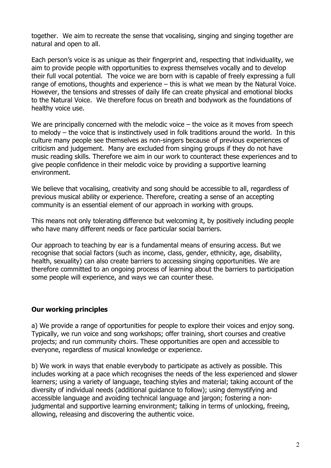together. We aim to recreate the sense that vocalising, singing and singing together are natural and open to all.

Each person's voice is as unique as their fingerprint and, respecting that individuality, we aim to provide people with opportunities to express themselves vocally and to develop their full vocal potential. The voice we are born with is capable of freely expressing a full range of emotions, thoughts and experience – this is what we mean by the Natural Voice. However, the tensions and stresses of daily life can create physical and emotional blocks to the Natural Voice. We therefore focus on breath and bodywork as the foundations of healthy voice use.

We are principally concerned with the melodic voice  $-$  the voice as it moves from speech to melody – the voice that is instinctively used in folk traditions around the world. In this culture many people see themselves as non-singers because of previous experiences of criticism and judgement. Many are excluded from singing groups if they do not have music reading skills. Therefore we aim in our work to counteract these experiences and to give people confidence in their melodic voice by providing a supportive learning environment.

We believe that vocalising, creativity and song should be accessible to all, regardless of previous musical ability or experience. Therefore, creating a sense of an accepting community is an essential element of our approach in working with groups.

This means not only tolerating difference but welcoming it, by positively including people who have many different needs or face particular social barriers.

Our approach to teaching by ear is a fundamental means of ensuring access. But we recognise that social factors (such as income, class, gender, ethnicity, age, disability, health, sexuality) can also create barriers to accessing singing opportunities. We are therefore committed to an ongoing process of learning about the barriers to participation some people will experience, and ways we can counter these.

#### **Our working principles**

a) We provide a range of opportunities for people to explore their voices and enjoy song. Typically, we run voice and song workshops; offer training, short courses and creative projects; and run community choirs. These opportunities are open and accessible to everyone, regardless of musical knowledge or experience.

b) We work in ways that enable everybody to participate as actively as possible. This includes working at a pace which recognises the needs of the less experienced and slower learners; using a variety of language, teaching styles and material; taking account of the diversity of individual needs (additional guidance to follow); using demystifying and accessible language and avoiding technical language and jargon; fostering a nonjudgmental and supportive learning environment; talking in terms of unlocking, freeing, allowing, releasing and discovering the authentic voice.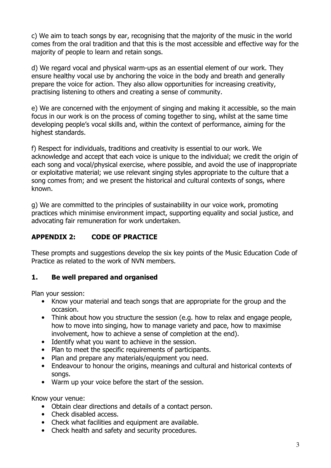c) We aim to teach songs by ear, recognising that the majority of the music in the world comes from the oral tradition and that this is the most accessible and effective way for the majority of people to learn and retain songs.

d) We regard vocal and physical warm-ups as an essential element of our work. They ensure healthy vocal use by anchoring the voice in the body and breath and generally prepare the voice for action. They also allow opportunities for increasing creativity, practising listening to others and creating a sense of community.

e) We are concerned with the enjoyment of singing and making it accessible, so the main focus in our work is on the process of coming together to sing, whilst at the same time developing people's vocal skills and, within the context of performance, aiming for the highest standards.

f) Respect for individuals, traditions and creativity is essential to our work. We acknowledge and accept that each voice is unique to the individual; we credit the origin of each song and vocal/physical exercise, where possible, and avoid the use of inappropriate or exploitative material; we use relevant singing styles appropriate to the culture that a song comes from; and we present the historical and cultural contexts of songs, where known.

g) We are committed to the principles of sustainability in our voice work, promoting practices which minimise environment impact, supporting equality and social justice, and advocating fair remuneration for work undertaken.

## **APPENDIX 2: CODE OF PRACTICE**

These prompts and suggestions develop the six key points of the Music Education Code of Practice as related to the work of NVN members.

## **1. Be well prepared and organised**

Plan your session:

- Know your material and teach songs that are appropriate for the group and the occasion.
- Think about how you structure the session (e.g. how to relax and engage people, how to move into singing, how to manage variety and pace, how to maximise involvement, how to achieve a sense of completion at the end).
- Identify what you want to achieve in the session.
- Plan to meet the specific requirements of participants.
- Plan and prepare any materials/equipment you need.
- Endeavour to honour the origins, meanings and cultural and historical contexts of songs.
- Warm up your voice before the start of the session.

Know your venue:

- Obtain clear directions and details of a contact person.
- Check disabled access.
- Check what facilities and equipment are available.
- Check health and safety and security procedures.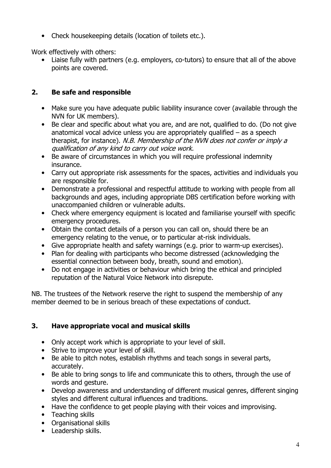• Check housekeeping details (location of toilets etc.).

Work effectively with others:

• Liaise fully with partners (e.g. employers, co-tutors) to ensure that all of the above points are covered.

## **2. Be safe and responsible**

- Make sure you have adequate public liability insurance cover (available through the NVN for UK members).
- Be clear and specific about what you are, and are not, qualified to do. (Do not give anatomical vocal advice unless you are appropriately qualified – as a speech therapist, for instance). N.B. Membership of the NVN does not confer or imply a qualification of any kind to carry out voice work.
- Be aware of circumstances in which you will require professional indemnity insurance.
- Carry out appropriate risk assessments for the spaces, activities and individuals you are responsible for.
- Demonstrate a professional and respectful attitude to working with people from all backgrounds and ages, including appropriate DBS certification before working with unaccompanied children or vulnerable adults.
- Check where emergency equipment is located and familiarise yourself with specific emergency procedures.
- Obtain the contact details of a person you can call on, should there be an emergency relating to the venue, or to particular at-risk individuals.
- Give appropriate health and safety warnings (e.g. prior to warm-up exercises).
- Plan for dealing with participants who become distressed (acknowledging the essential connection between body, breath, sound and emotion).
- Do not engage in activities or behaviour which bring the ethical and principled reputation of the Natural Voice Network into disrepute.

NB. The trustees of the Network reserve the right to suspend the membership of any member deemed to be in serious breach of these expectations of conduct.

## **3. Have appropriate vocal and musical skills**

- Only accept work which is appropriate to your level of skill.
- Strive to improve your level of skill.
- Be able to pitch notes, establish rhythms and teach songs in several parts, accurately.
- Be able to bring songs to life and communicate this to others, through the use of words and gesture.
- Develop awareness and understanding of different musical genres, different singing styles and different cultural influences and traditions.
- Have the confidence to get people playing with their voices and improvising.
- Teaching skills
- Organisational skills
- Leadership skills.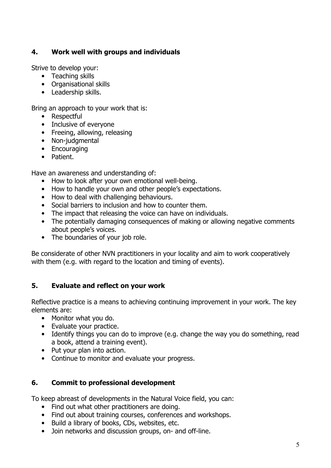### **4. Work well with groups and individuals**

Strive to develop your:

- Teaching skills
- Organisational skills
- Leadership skills.

Bring an approach to your work that is:

- Respectful
- Inclusive of everyone
- Freeing, allowing, releasing
- Non-judgmental
- Encouraging
- Patient.

Have an awareness and understanding of:

- How to look after your own emotional well-being.
- How to handle your own and other people's expectations.
- How to deal with challenging behaviours.
- Social barriers to inclusion and how to counter them.
- The impact that releasing the voice can have on individuals.
- The potentially damaging consequences of making or allowing negative comments about people's voices.
- The boundaries of your job role.

Be considerate of other NVN practitioners in your locality and aim to work cooperatively with them (e.g. with regard to the location and timing of events).

#### **5. Evaluate and reflect on your work**

Reflective practice is a means to achieving continuing improvement in your work. The key elements are:

- Monitor what you do.
- Evaluate your practice.
- Identify things you can do to improve (e.g. change the way you do something, read a book, attend a training event).
- Put your plan into action.
- Continue to monitor and evaluate your progress.

#### **6. Commit to professional development**

To keep abreast of developments in the Natural Voice field, you can:

- Find out what other practitioners are doing.
- Find out about training courses, conferences and workshops.
- Build a library of books, CDs, websites, etc.
- Join networks and discussion groups, on- and off-line.